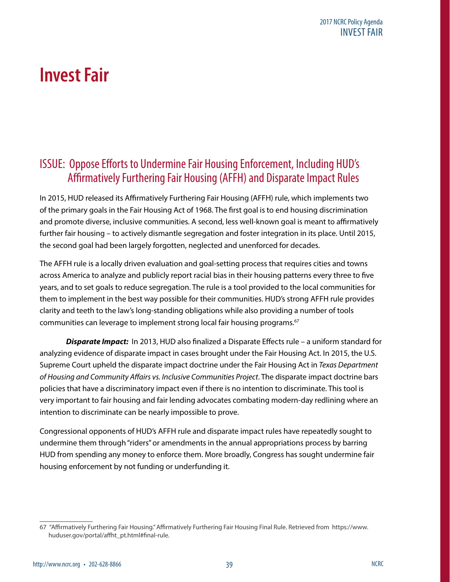# **Invest Fair**

# ISSUE: Oppose Efforts to Undermine Fair Housing Enforcement, Including HUD's Affirmatively Furthering Fair Housing (AFFH) and Disparate Impact Rules

In 2015, HUD released its Affirmatively Furthering Fair Housing (AFFH) rule, which implements two of the primary goals in the Fair Housing Act of 1968. The first goal is to end housing discrimination and promote diverse, inclusive communities. A second, less well-known goal is meant to affirmatively further fair housing – to actively dismantle segregation and foster integration in its place. Until 2015, the second goal had been largely forgotten, neglected and unenforced for decades.

The AFFH rule is a locally driven evaluation and goal-setting process that requires cities and towns across America to analyze and publicly report racial bias in their housing patterns every three to five years, and to set goals to reduce segregation. The rule is a tool provided to the local communities for them to implement in the best way possible for their communities. HUD's strong AFFH rule provides clarity and teeth to the law's long-standing obligations while also providing a number of tools communities can leverage to implement strong local fair housing programs.<sup>67</sup>

*Disparate Impact:*In 2013, HUD also finalized a Disparate Effects rule – a uniform standard for analyzing evidence of disparate impact in cases brought under the Fair Housing Act. In 2015, the U.S. Supreme Court upheld the disparate impact doctrine under the Fair Housing Act in *Texas Department of Housing and Community Affairs vs. Inclusive Communities Project*. The disparate impact doctrine bars policies that have a discriminatory impact even if there is no intention to discriminate. This tool is very important to fair housing and fair lending advocates combating modern-day redlining where an intention to discriminate can be nearly impossible to prove.

Congressional opponents of HUD's AFFH rule and disparate impact rules have repeatedly sought to undermine them through "riders" or amendments in the annual appropriations process by barring HUD from spending any money to enforce them. More broadly, Congress has sought undermine fair housing enforcement by not funding or underfunding it.

<sup>67 &</sup>quot;Affirmatively Furthering Fair Housing." Affirmatively Furthering Fair Housing Final Rule. Retrieved from https://www. huduser.gov/portal/affht\_pt.html#final-rule.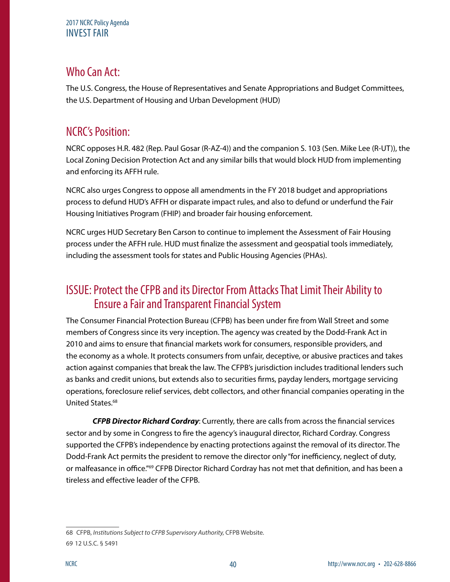#### 2017 NCRC Policy Agenda INVEST FAIR

# Who Can Act:

The U.S. Congress, the House of Representatives and Senate Appropriations and Budget Committees, the U.S. Department of Housing and Urban Development (HUD)

# NCRC's Position:

NCRC opposes H.R. 482 (Rep. Paul Gosar (R-AZ-4)) and the companion S. 103 (Sen. Mike Lee (R-UT)), the Local Zoning Decision Protection Act and any similar bills that would block HUD from implementing and enforcing its AFFH rule.

NCRC also urges Congress to oppose all amendments in the FY 2018 budget and appropriations process to defund HUD's AFFH or disparate impact rules, and also to defund or underfund the Fair Housing Initiatives Program (FHIP) and broader fair housing enforcement.

NCRC urges HUD Secretary Ben Carson to continue to implement the Assessment of Fair Housing process under the AFFH rule. HUD must finalize the assessment and geospatial tools immediately, including the assessment tools for states and Public Housing Agencies (PHAs).

### ISSUE: Protect the CFPB and its Director From Attacks That Limit Their Ability to Ensure a Fair and Transparent Financial System

The Consumer Financial Protection Bureau (CFPB) has been under fire from Wall Street and some members of Congress since its very inception. The agency was created by the Dodd-Frank Act in 2010 and aims to ensure that financial markets work for consumers, responsible providers, and the economy as a whole. It protects consumers from unfair, deceptive, or abusive practices and takes action against companies that break the law. The CFPB's jurisdiction includes traditional lenders such as banks and credit unions, but extends also to securities firms, payday lenders, mortgage servicing operations, foreclosure relief services, debt collectors, and other financial companies operating in the United States.<sup>68</sup>

*CFPB Director Richard Cordray*: Currently, there are calls from across the financial services sector and by some in Congress to fire the agency's inaugural director, Richard Cordray. Congress supported the CFPB's independence by enacting protections against the removal of its director. The Dodd-Frank Act permits the president to remove the director only "for inefficiency, neglect of duty, or malfeasance in office."69 CFPB Director Richard Cordray has not met that definition, and has been a tireless and effective leader of the CFPB.

<sup>68</sup> CFPB, *Institutions Subject to CFPB Supervisory Authority,* CFPB Website. 69 12 U.S.C. § 5491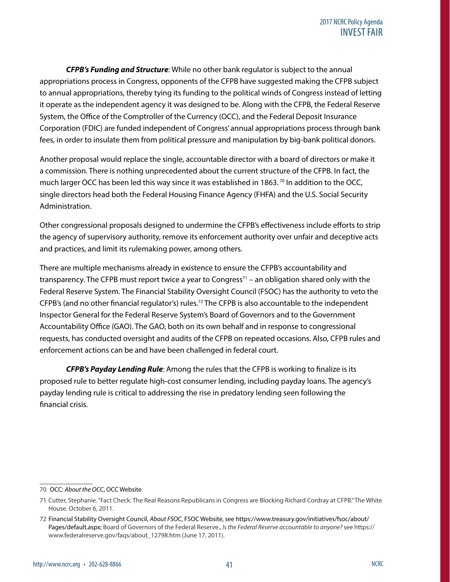*CFPB's Funding and Structure*: While no other bank regulator is subject to the annual appropriations process in Congress, opponents of the CFPB have suggested making the CFPB subject to annual appropriations, thereby tying its funding to the political winds of Congress instead of letting it operate as the independent agency it was designed to be. Along with the CFPB, the Federal Reserve System, the Office of the Comptroller of the Currency (OCC), and the Federal Deposit Insurance Corporation (FDIC) are funded independent of Congress' annual appropriations process through bank fees, in order to insulate them from political pressure and manipulation by big-bank political donors.

Another proposal would replace the single, accountable director with a board of directors or make it a commission. There is nothing unprecedented about the current structure of the CFPB. In fact, the much larger OCC has been led this way since it was established in 1863.<sup>70</sup> In addition to the OCC, single directors head both the Federal Housing Finance Agency (FHFA) and the U.S. Social Security Administration.

Other congressional proposals designed to undermine the CFPB's effectiveness include efforts to strip the agency of supervisory authority, remove its enforcement authority over unfair and deceptive acts and practices, and limit its rulemaking power, among others.

There are multiple mechanisms already in existence to ensure the CFPB's accountability and transparency. The CFPB must report twice a year to Congress<sup>71</sup> – an obligation shared only with the Federal Reserve System. The Financial Stability Oversight Council (FSOC) has the authority to veto the CFPB's (and no other financial regulator's) rules.<sup>72</sup> The CFPB is also accountable to the independent Inspector General for the Federal Reserve System's Board of Governors and to the Government Accountability Office (GAO). The GAO, both on its own behalf and in response to congressional requests, has conducted oversight and audits of the CFPB on repeated occasions. Also, CFPB rules and enforcement actions can be and have been challenged in federal court.

*CFPB's Payday Lending Rule*: Among the rules that the CFPB is working to finalize is its proposed rule to better regulate high-cost consumer lending, including payday loans. The agency's payday lending rule is critical to addressing the rise in predatory lending seen following the financial crisis.

<sup>70</sup> OCC: *About the OCC*, OCC Website.

<sup>71</sup> Cutter, Stephanie. "Fact Check: The Real Reasons Republicans in Congress are Blocking Richard Cordray at CFPB." The White House. October 6, 2011.

<sup>72</sup> Financial Stability Oversight Council, *About FSOC*, FSOC Website, see https://www.treasury.gov/initiatives/fsoc/about/ Pages/default.aspx; Board of Governors of the Federal Reserve., *Is the Federal Reserve accountable to anyone?* see https:// www.federalreserve.gov/faqs/about\_12798.htm (June 17, 2011).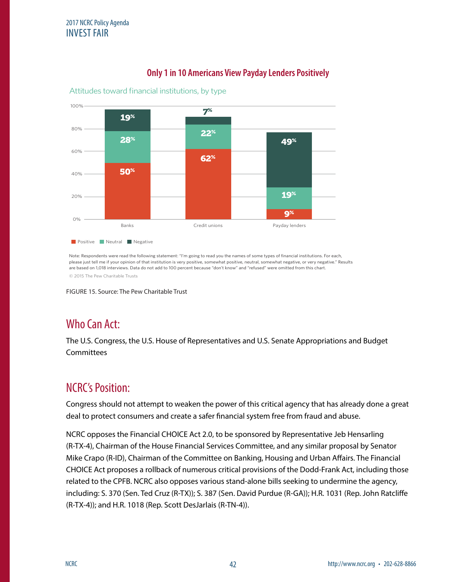

#### **Only 1 in 10 Americans View Payday Lenders Positively** Only 1 in 10 Americans View Payday Lenders Positively

Note: Respondents were read the following statement: "I'm going to read you the names of some types of financial institutions. For each, please just tell me if your opinion of that institution is very positive, somewhat positive, neutral, somewhat negative, or very negative." Results are based on 1,018 interviews. Data do not add to 100 percent because "don't know" and "refused" were omitted from this chart.

© 2015 The Pew Charitable Trusts

FIGURE 15. Source: The Pew Charitable Trust

# Who Can Act:

The U.S. Congress, the U.S. House of Representatives and U.S. Senate Appropriations and Budget **Committees** 

#### NCRC's Position:

Congress should not attempt to weaken the power of this critical agency that has already done a great deal to protect consumers and create a safer financial system free from fraud and abuse.

NCRC opposes the Financial CHOICE Act 2.0, to be sponsored by Representative Jeb Hensarling (R-TX-4), Chairman of the House Financial Services Committee, and any similar proposal by Senator Mike Crapo (R-ID), Chairman of the Committee on Banking, Housing and Urban Affairs. The Financial CHOICE Act proposes a rollback of numerous critical provisions of the Dodd-Frank Act, including those related to the CPFB. NCRC also opposes various stand-alone bills seeking to undermine the agency, including: S. 370 (Sen. Ted Cruz (R-TX)); S. 387 (Sen. David Purdue (R-GA)); H.R. 1031 (Rep. John Ratcliffe (R-TX-4)); and H.R. 1018 (Rep. Scott DesJarlais (R-TN-4)).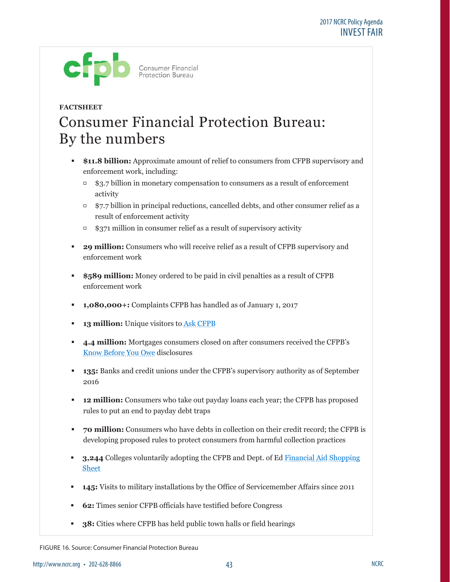

# **FACTSHEET** Consumer Financial Protection Bureau: By the numbers

- **\$11.8 billion:** Approximate amount of relief to consumers from CFPB supervisory and enforcement work, including:
	- \$3.7 billion in monetary compensation to consumers as a result of enforcement activity
	- $\overline{57.7}$  billion in principal reductions, cancelled debts, and other consumer relief as a result of enforcement activity
	- $\overline{\phantom{a}}$  \$371 million in consumer relief as a result of supervisory activity
- **29 million:** Consumers who will receive relief as a result of CFPB supervisory and enforcement work
- **\$589 million:** Money ordered to be paid in civil penalties as a result of CFPB enforcement work
- **1,080,000+:** Complaints CFPB has handled as of January 1, 2017
- **13 million:** Unique visitors to Ask CFPB
- **4.4 million:** Mortgages consumers closed on after consumers received the CFPB's Know Before You Owe disclosures
- **135:** Banks and credit unions under the CFPB's supervisory authority as of September 2016
- **12 million:** Consumers who take out payday loans each year; the CFPB has proposed rules to put an end to payday debt traps
- **70 million:** Consumers who have debts in collection on their credit record; the CFPB is developing proposed rules to protect consumers from harmful collection practices
- **3,244** Colleges voluntarily adopting the CFPB and Dept. of Ed Financial Aid Shopping **Sheet**
- **145:** Visits to military installations by the Office of Servicemember Affairs since 2011
	- **62:** Times senior CFPB officials have testified before Congress
	- **38:** Cities where CFPB has held public town halls or field hearings

FIGURE 16. Source: Consumer Financial Protection Bureau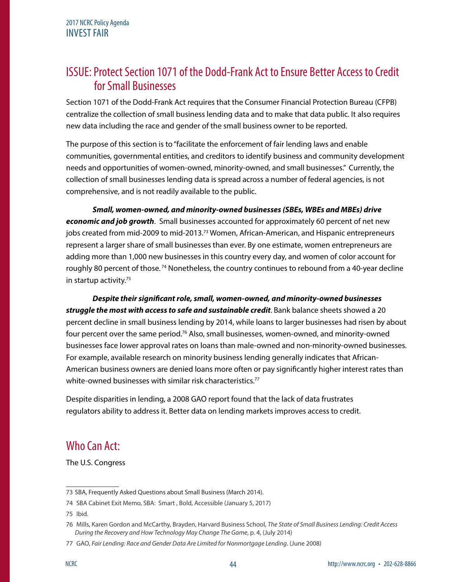#### ISSUE: Protect Section 1071 of the Dodd-Frank Act to Ensure Better Access to Credit for Small Businesses

Section 1071 of the Dodd-Frank Act requires that the Consumer Financial Protection Bureau (CFPB) centralize the collection of small business lending data and to make that data public. It also requires new data including the race and gender of the small business owner to be reported.

The purpose of this section is to "facilitate the enforcement of fair lending laws and enable communities, governmental entities, and creditors to identify business and community development needs and opportunities of women-owned, minority-owned, and small businesses." Currently, the collection of small businesses lending data is spread across a number of federal agencies, is not comprehensive, and is not readily available to the public.

*Small, women-owned, and minority-owned businesses (SBEs, WBEs and MBEs) drive economic and job growth*. Small businesses accounted for approximately 60 percent of net new jobs created from mid-2009 to mid-2013.<sup>73</sup> Women, African-American, and Hispanic entrepreneurs represent a larger share of small businesses than ever. By one estimate, women entrepreneurs are adding more than 1,000 new businesses in this country every day, and women of color account for roughly 80 percent of those.<sup>74</sup> Nonetheless, the country continues to rebound from a 40-year decline in startup activity.<sup>75</sup>

*Despite their significant role, small, women-owned, and minority-owned businesses struggle the most with access to safe and sustainable credit*. Bank balance sheets showed a 20 percent decline in small business lending by 2014, while loans to larger businesses had risen by about four percent over the same period.76 Also, small businesses, women-owned, and minority-owned businesses face lower approval rates on loans than male-owned and non-minority-owned businesses. For example, available research on minority business lending generally indicates that African-American business owners are denied loans more often or pay significantly higher interest rates than white-owned businesses with similar risk characteristics.<sup>77</sup>

Despite disparities in lending, a 2008 GAO report found that the lack of data frustrates regulators ability to address it. Better data on lending markets improves access to credit.

# Who Can Act:

The U.S. Congress

75 Ibid.

<sup>73</sup> SBA, Frequently Asked Questions about Small Business (March 2014).

<sup>74</sup> SBA Cabinet Exit Memo, SBA: Smart , Bold, Accessible (January 5, 2017)

<sup>76</sup> Mills, Karen Gordon and McCarthy, Brayden, Harvard Business School, *The State of Small Business Lending: Credit Access During the Recovery and How Technology May Change The Game*, p. 4, (July 2014)

<sup>77</sup> GAO, *Fair Lending: Race and Gender Data Are Limited for Nonmortgage Lending*. (June 2008)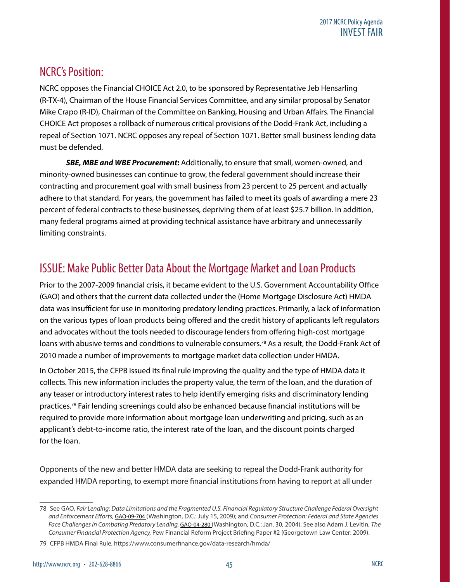### NCRC's Position:

NCRC opposes the Financial CHOICE Act 2.0, to be sponsored by Representative Jeb Hensarling (R-TX-4), Chairman of the House Financial Services Committee, and any similar proposal by Senator Mike Crapo (R-ID), Chairman of the Committee on Banking, Housing and Urban Affairs. The Financial CHOICE Act proposes a rollback of numerous critical provisions of the Dodd-Frank Act, including a repeal of Section 1071. NCRC opposes any repeal of Section 1071. Better small business lending data must be defended.

*SBE, MBE and WBE Procurement***:** Additionally, to ensure that small, women-owned, and minority-owned businesses can continue to grow, the federal government should increase their contracting and procurement goal with small business from 23 percent to 25 percent and actually adhere to that standard. For years, the government has failed to meet its goals of awarding a mere 23 percent of federal contracts to these businesses, depriving them of at least \$25.7 billion. In addition, many federal programs aimed at providing technical assistance have arbitrary and unnecessarily limiting constraints.

# ISSUE: Make Public Better Data About the Mortgage Market and Loan Products

Prior to the 2007-2009 financial crisis, it became evident to the U.S. Government Accountability Office (GAO) and others that the current data collected under the (Home Mortgage Disclosure Act) HMDA data was insufficient for use in monitoring predatory lending practices. Primarily, a lack of information on the various types of loan products being offered and the credit history of applicants left regulators and advocates without the tools needed to discourage lenders from offering high-cost mortgage loans with abusive terms and conditions to vulnerable consumers.<sup>78</sup> As a result, the Dodd-Frank Act of 2010 made a number of improvements to mortgage market data collection under HMDA.

In October 2015, the CFPB issued its final rule improving the quality and the type of HMDA data it collects. This new information includes the property value, the term of the loan, and the duration of any teaser or introductory interest rates to help identify emerging risks and discriminatory lending practices.79 Fair lending screenings could also be enhanced because financial institutions will be required to provide more information about mortgage loan underwriting and pricing, such as an applicant's debt-to-income ratio, the interest rate of the loan, and the discount points charged for the loan.

Opponents of the new and better HMDA data are seeking to repeal the Dodd-Frank authority for expanded HMDA reporting, to exempt more financial institutions from having to report at all under

<sup>78</sup> See GAO, *Fair Lending: Data Limitations and the Fragmented U.S. Financial Regulatory Structure Challenge Federal Oversight and Enforcement Efforts*, GAO-09-704 (Washington, D.C.: July 15, 2009); and *Consumer Protection: Federal and State Agencies*  Face Challenges in Combating Predatory Lending, **GAO-04-280** (Washington, D.C.: Jan. 30, 2004). See also Adam J. Levitin, The *Consumer Financial Protection Agency,* Pew Financial Reform Project Briefing Paper #2 (Georgetown Law Center: 2009).

<sup>79</sup> CFPB HMDA Final Rule, https://www.consumerfinance.gov/data-research/hmda/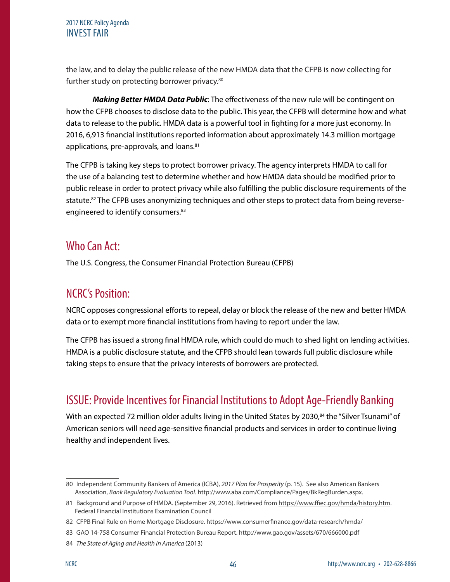#### 2017 NCRC Policy Agenda INVEST FAIR

the law, and to delay the public release of the new HMDA data that the CFPB is now collecting for further study on protecting borrower privacy.<sup>80</sup>

*Making Better HMDA Data Public*: The effectiveness of the new rule will be contingent on how the CFPB chooses to disclose data to the public. This year, the CFPB will determine how and what data to release to the public. HMDA data is a powerful tool in fighting for a more just economy. In 2016, 6,913 financial institutions reported information about approximately 14.3 million mortgage applications, pre-approvals, and loans.<sup>81</sup>

The CFPB is taking key steps to protect borrower privacy. The agency interprets HMDA to call for the use of a balancing test to determine whether and how HMDA data should be modified prior to public release in order to protect privacy while also fulfilling the public disclosure requirements of the statute.<sup>82</sup> The CFPB uses anonymizing techniques and other steps to protect data from being reverseengineered to identify consumers.<sup>83</sup>

## Who Can Act:

The U.S. Congress, the Consumer Financial Protection Bureau (CFPB)

## NCRC's Position:

NCRC opposes congressional efforts to repeal, delay or block the release of the new and better HMDA data or to exempt more financial institutions from having to report under the law.

The CFPB has issued a strong final HMDA rule, which could do much to shed light on lending activities. HMDA is a public disclosure statute, and the CFPB should lean towards full public disclosure while taking steps to ensure that the privacy interests of borrowers are protected.

# ISSUE: Provide Incentives for Financial Institutions to Adopt Age-Friendly Banking

With an expected 72 million older adults living in the United States by 2030,<sup>84</sup> the "Silver Tsunami" of American seniors will need age-sensitive financial products and services in order to continue living healthy and independent lives.

<sup>80</sup> Independent Community Bankers of America (ICBA), *2017 Plan for Prosperity* (p. 15). See also American Bankers Association, *Bank Regulatory Evaluation Tool*. http://www.aba.com/Compliance/Pages/BkRegBurden.aspx.

<sup>81</sup> Background and Purpose of HMDA. (September 29, 2016). Retrieved from<https://www.ffiec.gov/hmda/history.htm>. Federal Financial Institutions Examination Council

<sup>82</sup> CFPB Final Rule on Home Mortgage Disclosure. https://www.consumerfinance.gov/data-research/hmda/

<sup>83</sup> GAO 14-758 Consumer Financial Protection Bureau Report. http://www.gao.gov/assets/670/666000.pdf

<sup>84</sup> *The State of Aging and Health in America* (2013)